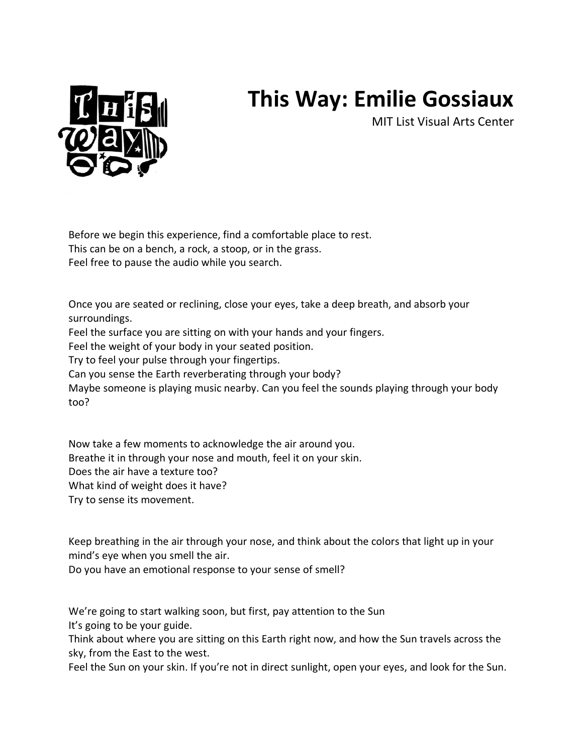## **This Way: Emilie Gossiaux**

MIT List Visual Arts Center



Before we begin this experience, find a comfortable place to rest. This can be on a bench, a rock, a stoop, or in the grass. Feel free to pause the audio while you search.

Once you are seated or reclining, close your eyes, take a deep breath, and absorb your surroundings.

Feel the surface you are sitting on with your hands and your fingers.

Feel the weight of your body in your seated position.

Try to feel your pulse through your fingertips.

Can you sense the Earth reverberating through your body?

Maybe someone is playing music nearby. Can you feel the sounds playing through your body too?

Now take a few moments to acknowledge the air around you. Breathe it in through your nose and mouth, feel it on your skin. Does the air have a texture too? What kind of weight does it have? Try to sense its movement.

Keep breathing in the air through your nose, and think about the colors that light up in your mind's eye when you smell the air.

Do you have an emotional response to your sense of smell?

We're going to start walking soon, but first, pay attention to the Sun It's going to be your guide.

Think about where you are sitting on this Earth right now, and how the Sun travels across the sky, from the East to the west.

Feel the Sun on your skin. If you're not in direct sunlight, open your eyes, and look for the Sun.